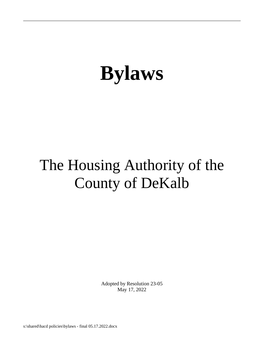## The Housing Authority of the County of DeKalb

Adopted by Resolution 23-05 May 17, 2022

s:\shared\hacd policies\bylaws - final 05.17.2022.docx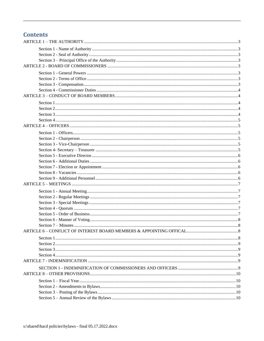## **Contents**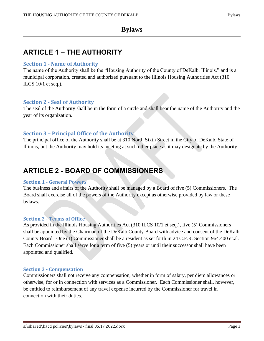## <span id="page-2-0"></span>**ARTICLE 1 – THE AUTHORITY**

#### <span id="page-2-1"></span>**Section 1 - Name of Authority**

The name of the Authority shall be the "Housing Authority of the County of DeKalb, Illinois." and is a municipal corporation, created and authorized pursuant to the Illinois Housing Authorities Act (310 ILCS  $10/1$  et seq.).

#### <span id="page-2-2"></span>**Section 2 - Seal of Authority**

The seal of the Authority shall be in the form of a circle and shall bear the name of the Authority and the year of its organization.

#### <span id="page-2-3"></span>**Section 3 – Principal Office of the Authority**

The principal office of the Authority shall be at 310 North Sixth Street in the City of DeKalb, State of Illinois, but the Authority may hold its meeting at such other place as it may designate by the Authority.

## <span id="page-2-4"></span>**ARTICLE 2 - BOARD OF COMMISSIONERS**

#### <span id="page-2-5"></span>**Section 1 - General Powers**

The business and affairs of the Authority shall be managed by a Board of five (5) Commissioners. The Board shall exercise all of the powers of the Authority except as otherwise provided by law or these bylaws.

#### <span id="page-2-6"></span>**Section 2 - Terms of Office**

As provided in the Illinois Housing Authorities Act (310 ILCS 10/1 et seq.), five (5) Commissioners shall be appointed by the Chairman of the DeKalb County Board with advice and consent of the DeKalb County Board. One (1) Commissioner shall be a resident as set forth in 24 C.F.R. Section 964.400 et.al. Each Commissioner shall serve for a term of five (5) years or until their successor shall have been appointed and qualified.

#### <span id="page-2-7"></span>**Section 3 - Compensation**

Commissioners shall not receive any compensation, whether in form of salary, per diem allowances or otherwise, for or in connection with services as a Commissioner. Each Commissioner shall, however, be entitled to reimbursement of any travel expense incurred by the Commissioner for travel in connection with their duties.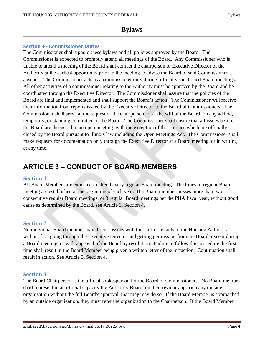#### <span id="page-3-0"></span>**Section 4 - Commissioner Duties**

The Commissioner shall uphold these bylaws and all policies approved by the Board. The Commissioner is expected to promptly attend all meetings of the Board. Any Commissioner who is unable to attend a meeting of the Board shall contact the chairperson or Executive Director of the Authority at the earliest opportunity prior to the meeting to advise the Board of said Commissioner's absence. The Commissioner acts as a commissioner only during officially sanctioned Board meetings. All other activities of a commissioner relating to the Authority must be approved by the Board and be coordinated through the Executive Director. The Commissioner shall assure that the policies of the Board are final and implemented and shall support the Board's action. The Commissioner will receive their information from reports issued by the Executive Director to the Board of Commissioners. The Commissioner shall serve at the request of the chairperson, or at the will of the Board, on any ad hoc, temporary, or standing committee of the Board. The Commissioner shall ensure that all issues before the Board are discussed in an open meeting, with the exception of those issues which are officially closed by the Board pursuant to Illinois law including the Open Meetings Act. The Commissioner shall make requests for documentation only through the Executive Director at a Board meeting, or in writing at any time.

## <span id="page-3-1"></span>**ARTICLE 3 – CONDUCT OF BOARD MEMBERS**

#### <span id="page-3-2"></span>**Section 1**

All Board Members are expected to attend every regular Board meeting. The times of regular Board meeting are established at the beginning of each year. If a Board member misses more than two consecutive regular Board meetings, or 3 regular Board meetings per the PHA fiscal year, without good cause as determined by the Board, see Article 3, Section 4.

#### <span id="page-3-3"></span>**Section 2**

No individual Board member may discuss issues with the staff or tenants of the Housing Authority without first going through the Executive Director and getting permission from the Board, except during a Board meeting, or with approval of the Board by resolution. Failure to follow this procedure the first time shall result in the Board Member being given a written letter of the infraction. Continuation shall result in action. See Article 3, Section 4.

#### <span id="page-3-4"></span>**Section 3**

The Board Chairperson is the official spokesperson for the Board of Commissioners. No Board member shall represent in an official capacity the Authority Board, on their own or approach any outside organization without the full Board's approval, that they may do so. If the Board Member is approached by an outside organization, they must refer the organization to the Chairperson. If the Board Member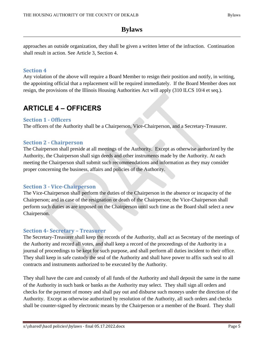approaches an outside organization, they shall be given a written letter of the infraction. Continuation shall result in action. See Article 3, Section 4.

#### <span id="page-4-0"></span>**Section 4**

Any violation of the above will require a Board Member to resign their position and notify, in writing, the appointing official that a replacement will be required immediately. If the Board Member does not resign, the provisions of the Illinois Housing Authorities Act will apply (310 ILCS 10/4 et seq.).

## <span id="page-4-1"></span>**ARTICLE 4 – OFFICERS**

#### <span id="page-4-2"></span>**Section 1 - Officers**

The officers of the Authority shall be a Chairperson, Vice-Chairperson, and a Secretary-Treasurer.

#### <span id="page-4-3"></span>**Section 2 - Chairperson**

The Chairperson shall preside at all meetings of the Authority. Except as otherwise authorized by the Authority, the Chairperson shall sign deeds and other instruments made by the Authority. At each meeting the Chairperson shall submit such recommendations and information as they may consider proper concerning the business, affairs and policies of the Authority.

#### <span id="page-4-4"></span>**Section 3 - Vice-Chairperson**

The Vice-Chairperson shall perform the duties of the Chairperson in the absence or incapacity of the Chairperson; and in case of the resignation or death of the Chairperson; the Vice-Chairperson shall perform such duties as are imposed on the Chairperson until such time as the Board shall select a new Chairperson.

#### <span id="page-4-5"></span>**Section 4- Secretary – Treasurer**

The Secretary-Treasurer shall keep the records of the Authority, shall act as Secretary of the meetings of the Authority and record all votes, and shall keep a record of the proceedings of the Authority in a journal of proceedings to be kept for such purpose, and shall perform all duties incident to their office. They shall keep in safe custody the seal of the Authority and shall have power to affix such seal to all contracts and instruments authorized to be executed by the Authority.

They shall have the care and custody of all funds of the Authority and shall deposit the same in the name of the Authority in such bank or banks as the Authority may select. They shall sign all orders and checks for the payment of money and shall pay out and disburse such moneys under the direction of the Authority. Except as otherwise authorized by resolution of the Authority, all such orders and checks shall be counter-signed by electronic means by the Chairperson or a member of the Board. They shall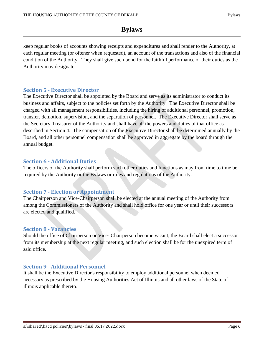keep regular books of accounts showing receipts and expenditures and shall render to the Authority, at each regular meeting (or oftener when requested), an account of the transactions and also of the financial condition of the Authority. They shall give such bond for the faithful performance of their duties as the Authority may designate.

#### <span id="page-5-0"></span>**Section 5 - Executive Director**

The Executive Director shall be appointed by the Board and serve as its administrator to conduct its business and affairs, subject to the policies set forth by the Authority. The Executive Director shall be charged with all management responsibilities, including the hiring of additional personnel, promotion, transfer, demotion, supervision, and the separation of personnel. The Executive Director shall serve as the Secretary-Treasurer of the Authority and shall have all the powers and duties of that office as described in Section 4. The compensation of the Executive Director shall be determined annually by the Board, and all other personnel compensation shall be approved in aggregate by the board through the annual budget.

#### <span id="page-5-1"></span>**Section 6 - Additional Duties**

The officers of the Authority shall perform such other duties and functions as may from time to time be required by the Authority or the Bylaws or rules and regulations of the Authority.

#### <span id="page-5-2"></span>**Section 7 - Election or Appointment**

The Chairperson and Vice-Chairperson shall be elected at the annual meeting of the Authority from among the Commissioners of the Authority and shall hold office for one year or until their successors are elected and qualified.

#### <span id="page-5-3"></span>**Section 8 - Vacancies**

Should the office of Chairperson or Vice- Chairperson become vacant, the Board shall elect a successor from its membership at the next regular meeting, and such election shall be for the unexpired term of said office.

#### <span id="page-5-4"></span>**Section 9 - Additional Personnel**

It shall be the Executive Director's responsibility to employ additional personnel when deemed necessary as prescribed by the Housing Authorities Act of Illinois and all other laws of the State of Illinois applicable thereto.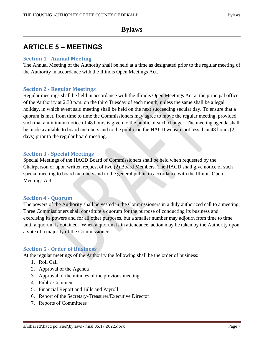## <span id="page-6-0"></span>**ARTICLE 5 – MEETINGS**

#### <span id="page-6-1"></span>**Section 1 - Annual Meeting**

The Annual Meeting of the Authority shall be held at a time as designated prior to the regular meeting of the Authority in accordance with the Illinois Open Meetings Act.

#### <span id="page-6-2"></span>**Section 2 - Regular Meetings**

Regular meetings shall be held in accordance with the Illinois Open Meetings Act at the principal office of the Authority at 2:30 p.m. on the third Tuesday of each month, unless the same shall be a legal holiday, in which event said meeting shall be held on the next succeeding secular day. To ensure that a quorum is met, from time to time the Commissioners may agree to move the regular meeting, provided such that a minimum notice of 48 hours is given to the public of such change. The meeting agenda shall be made available to board members and to the public on the HACD website not less than 48 hours (2 days) prior to the regular board meeting.

#### <span id="page-6-3"></span>**Section 3 - Special Meetings**

Special Meetings of the HACD Board of Commissioners shall be held when requested by the Chairperson or upon written request of two (2) Board Members. The HACD shall give notice of such special meeting to board members and to the general public in accordance with the Illinois Open Meetings Act.

#### <span id="page-6-4"></span>**Section 4 - Quorum**

The powers of the Authority shall be vested in the Commissioners in a duly authorized call to a meeting. Three Commissioners shall constitute a quorum for the purpose of conducting its business and exercising its powers and for all other purposes, but a smaller number may adjourn from time to time until a quorum is obtained. When a quorum is in attendance, action may be taken by the Authority upon a vote of a majority of the Commissioners.

#### <span id="page-6-5"></span>**Section 5 - Order of Business**

At the regular meetings of the Authority the following shall be the order of business:

- 1. Roll Call
- 2. Approval of the Agenda
- 3. Approval of the minutes of the previous meeting
- 4. Public Comment
- 5. Financial Report and Bills and Payroll
- 6. Report of the Secretary-Treasurer/Executive Director
- 7. Reports of Committees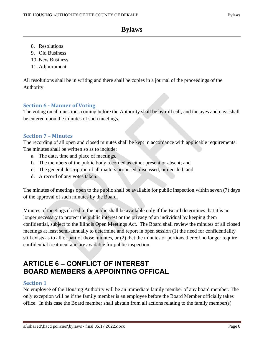- 8. Resolutions
- 9. Old Business
- 10. New Business
- 11. Adjournment

All resolutions shall be in writing and there shall be copies in a journal of the proceedings of the Authority.

#### <span id="page-7-0"></span>**Section 6 - Manner of Voting**

The voting on all questions coming before the Authority shall be by roll call, and the ayes and nays shall be entered upon the minutes of such meetings.

#### <span id="page-7-1"></span>**Section 7 – Minutes**

The recording of all open and closed minutes shall be kept in accordance with applicable requirements. The minutes shall be written so as to include:

- a. The date, time and place of meetings.
- b. The members of the public body recorded as either present or absent; and
- c. The general description of all matters proposed, discussed, or decided; and
- d. A record of any votes taken.

The minutes of meetings open to the public shall be available for public inspection within seven (7) days of the approval of such minutes by the Board.

Minutes of meetings closed to the public shall be available only if the Board determines that it is no longer necessary to protect the public interest or the privacy of an individual by keeping them confidential, subject to the Illinois Open Meetings Act. The Board shall review the minutes of all closed meetings at least semi-annually to determine and report in open session (1) the need for confidentiality still exists as to all or part of those minutes, or (2) that the minutes or portions thereof no longer require confidential treatment and are available for public inspection.

## <span id="page-7-2"></span>**ARTICLE 6 – CONFLICT OF INTEREST BOARD MEMBERS & APPOINTING OFFICAL**

#### <span id="page-7-3"></span>**Section 1**

No employee of the Housing Authority will be an immediate family member of any board member. The only exception will be if the family member is an employee before the Board Member officially takes office. In this case the Board member shall abstain from all actions relating to the family member(s)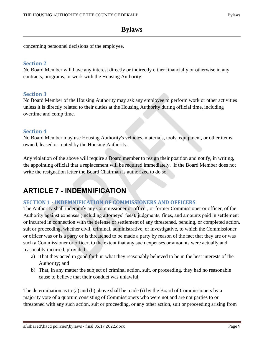concerning personnel decisions of the employee.

#### <span id="page-8-0"></span>**Section 2**

No Board Member will have any interest directly or indirectly either financially or otherwise in any contracts, programs, or work with the Housing Authority.

#### <span id="page-8-1"></span>**Section 3**

No Board Member of the Housing Authority may ask any employee to perform work or other activities unless it is directly related to their duties at the Housing Authority during official time, including overtime and comp time.

#### <span id="page-8-2"></span>**Section 4**

No Board Member may use Housing Authority's vehicles, materials, tools, equipment, or other items owned, leased or rented by the Housing Authority.

Any violation of the above will require a Board member to resign their position and notify, in writing, the appointing official that a replacement will be required immediately. If the Board Member does not write the resignation letter the Board Chairman is authorized to do so.

## <span id="page-8-3"></span>**ARTICLE 7 - INDEMNIFICATION**

#### <span id="page-8-4"></span>**SECTION 1 - INDEMNIFICATION OF COMMISSIONERS AND OFFICERS**

The Authority shall indemnify any Commissioner or officer, or former Commissioner or officer, of the Authority against expenses (including attorneys' fees), judgments, fines, and amounts paid in settlement or incurred in connection with the defense or settlement of any threatened, pending, or completed action, suit or proceeding, whether civil, criminal, administrative, or investigative, to which the Commissioner or officer was or is a party or is threatened to be made a party by reason of the fact that they are or was such a Commissioner or officer, to the extent that any such expenses or amounts were actually and reasonably incurred, provided:

- a) That they acted in good faith in what they reasonably believed to be in the best interests of the Authority; and
- b) That, in any matter the subject of criminal action, suit, or proceeding, they had no reasonable cause to believe that their conduct was unlawful.

The determination as to (a) and (b) above shall be made (i) by the Board of Commissioners by a majority vote of a quorum consisting of Commissioners who were not and are not parties to or threatened with any such action, suit or proceeding, or any other action, suit or proceeding arising from